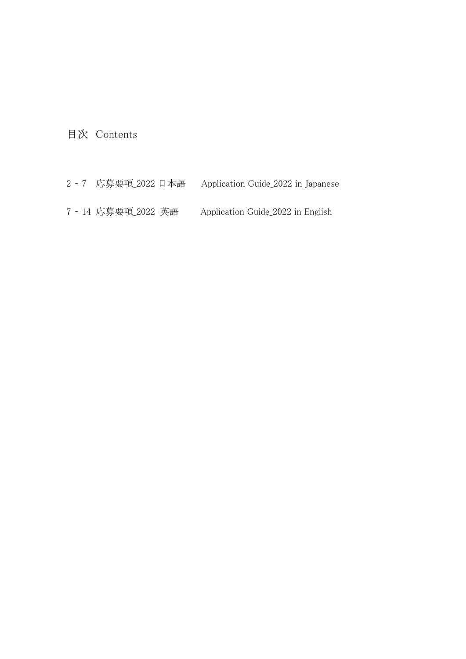目次 Contents

- 7 応募要項\_2022 日本語 Application Guide\_2022 in Japanese
- 14 応募要項\_2022 英語 Application Guide\_2022 in English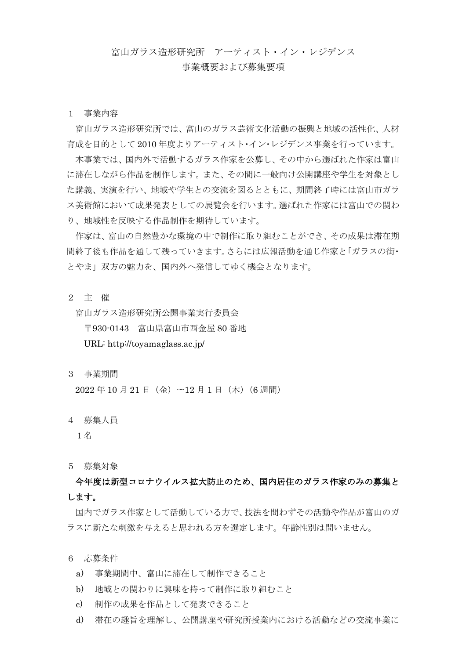# 富山ガラス造形研究所 アーティスト・イン・レジデンス

# 事業概要および募集要項

1 事業内容

富山ガラス造形研究所では、富山のガラス芸術文化活動の振興と地域の活性化、人材 育成を目的として 2010 年度よりアーティスト・イン・レジデンス事業を行っています。

本事業では、国内外で活動するガラス作家を公募し、その中から選ばれた作家は富山 に滞在しながら作品を制作します。また、その間に一般向け公開講座や学生を対象とし た講義、実演を行い、地域や学生との交流を図るとともに、期間終了時には富山市ガラ ス美術館において成果発表としての展覧会を行います。選ばれた作家には富山での関わ り、地域性を反映する作品制作を期待しています。

作家は、富山の自然豊かな環境の中で制作に取り組むことができ、その成果は滞在期 間終了後も作品を通して残っていきます。さらには広報活動を通じ作家と「ガラスの街・ とやま」双方の魅力を、国内外へ発信してゆく機会となります。

2 主 催

富山ガラス造形研究所公開事業実行委員会

〒930-0143 富山県富山市西金屋 80 番地

URL: http://toyamaglass.ac.jp/

3 事業期間

2022年10月21日(金)~12月1日(木)(6週間)

4 募集人員

1名

5 募集対象

 今年度は新型コロナウイルス拡大防止のため、国内居住のガラス作家のみの募集と します。

国内でガラス作家として活動している方で、技法を問わずその活動や作品が富山のガ ラスに新たな刺激を与えると思われる方を選定します。年齢性別は問いません。

6 応募条件

- a) 事業期間中、富山に滞在して制作できること
- b) 地域との関わりに興味を持って制作に取り組むこと
- c) 制作の成果を作品として発表できること
- d) 滞在の趣旨を理解し、公開講座や研究所授業内における活動などの交流事業に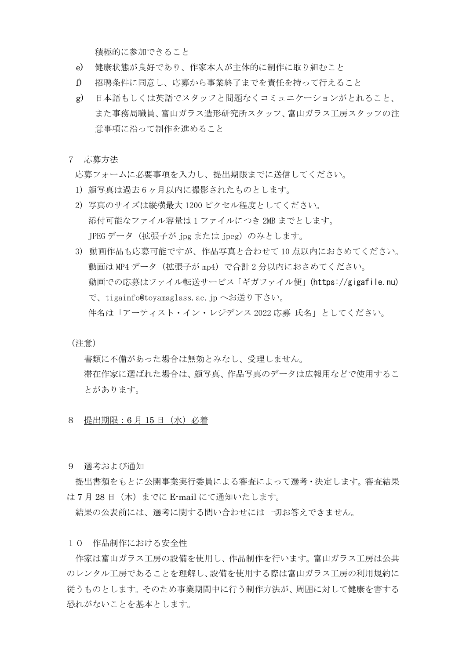積極的に参加できること

- e) 健康状態が良好であり、作家本人が主体的に制作に取り組むこと
- f) 招聘条件に同意し、応募から事業終了までを責任を持って行えること
- g) 日本語もしくは英語でスタッフと問題なくコミュニケーションがとれること、 また事務局職員、富山ガラス造形研究所スタッフ、富山ガラス工房スタッフの注 意事項に沿って制作を進めること
- 7 応募方法

応募フォームに必要事項を入力し、提出期限までに送信してください。

- 1) 顔写真は過去 6 ヶ月以内に撮影されたものとします。
- 2) 写真のサイズは縦横最大 1200 ピクセル程度としてください。 添付可能なファイル容量は 1 ファイルにつき 2MB までとします。 JPEG データ (拡張子が jpg または jpeg) のみとします。
- 3) 動画作品も応募可能ですが、作品写真と合わせて 10 点以内におさめてください。 動画は MP4 データ (拡張子が mp4) で合計 2 分以内におさめてください。 動画での応募はファイル転送サービス「ギガファイル便」[\(https://gigafile.nu\)](http://www.wetransfer.com/) で、[tigainfo@toyamaglass.ac.jp](mailto:tigainfo@toyamaglass.ac.jp) へお送り下さい。 件名は「アーティスト・イン・レジデンス 2022 応募 氏名」としてください。

(注意)

 書類に不備があった場合は無効とみなし、受理しません。 滞在作家に選ばれた場合は、顔写真、作品写真のデータは広報用などで使用するこ とがあります。

- 8 提出期限:6 月 15 日(水)必着
- 9 選考および通知

提出書類をもとに公開事業実行委員による審査によって選考・決定します。審査結果 は7月28日 (木)までに E-mail にて通知いたします。

結果の公表前には、選考に関する問い合わせには一切お答えできません。

# 10 作品制作における安全性

作家は富山ガラス工房の設備を使用し、作品制作を行います。富山ガラス工房は公共 のレンタル工房であることを理解し、設備を使用する際は富山ガラス工房の利用規約に 従うものとします。そのため事業期間中に行う制作方法が、周囲に対して健康を害する 恐れがないことを基本とします。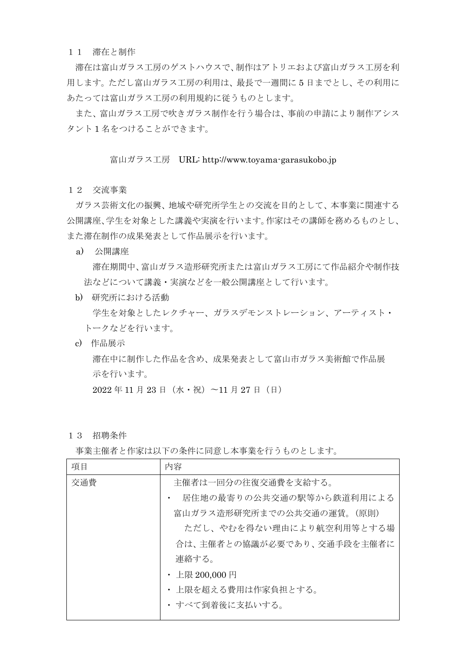### 11 滞在と制作

滞在は富山ガラス工房のゲストハウスで、制作はアトリエおよび富山ガラス工房を利 用します。ただし富山ガラス工房の利用は、最長で一週間に 5 日までとし、その利用に あたっては富山ガラス工房の利用規約に従うものとします。

また、富山ガラス工房で吹きガラス制作を行う場合は、事前の申請により制作アシス タント 1 名をつけることができます。

# 富山ガラス工房 URL: http://www.toyama-garasukobo.jp

12 交流事業

ガラス芸術文化の振興、地域や研究所学生との交流を目的として、本事業に関連する 公開講座、学生を対象とした講義や実演を行います。作家はその講師を務めるものとし、 また滞在制作の成果発表として作品展示を行います。

a) 公開講座

 滞在期間中、富山ガラス造形研究所または富山ガラス工房にて作品紹介や制作技 法などについて講義・実演などを一般公開講座として行います。

- b) 研究所における活動 学生を対象としたレクチャー、ガラスデモンストレーション、アーティスト・ トークなどを行います。
- c) 作品展示

 滞在中に制作した作品を含め、成果発表として富山市ガラス美術館で作品展 示を行います。

2022 年 11 月 23 日(水・祝)〜11 月 27 日(日)

13 招聘条件

事業主催者と作家は以下の条件に同意し本事業を行うものとします。

| 項目  | 内容                         |
|-----|----------------------------|
| 交通費 | 主催者は一回分の往復交通費を支給する。        |
|     | 居住地の最寄りの公共交通の駅等から鉄道利用による   |
|     | 富山ガラス造形研究所までの公共交通の運賃。(原則)  |
|     | ただし、やむを得ない理由により航空利用等とする場   |
|     | 合は、主催者との協議が必要であり、交通手段を主催者に |
|     | 連絡する。                      |
|     | ・ 上限 200,000 円             |
|     | ・ 上限を超える費用は作家負担とする。        |
|     | ・ すべて到着後に支払いする。            |
|     |                            |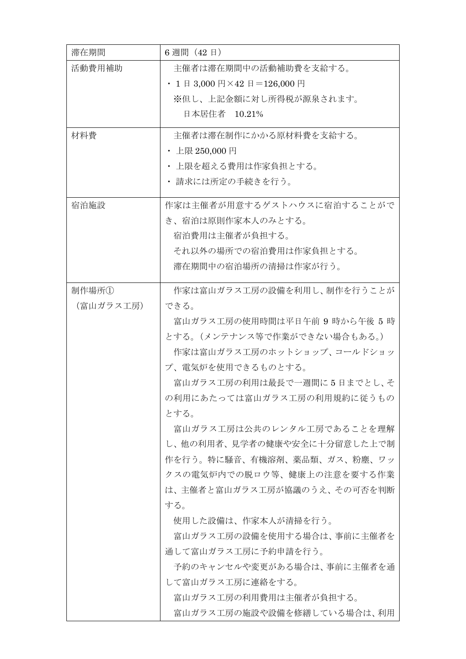| 滞在期間      | 6 週間 (42日)                    |
|-----------|-------------------------------|
| 活動費用補助    | 主催者は滞在期間中の活動補助費を支給する。         |
|           | • 1日 3,000円×42日=126,000円      |
|           | ※但し、上記金額に対し所得税が源泉されます。        |
|           | 日本居住者 10.21%                  |
| 材料費       | 主催者は滞在制作にかかる原材料費を支給する。        |
|           | ・ 上限 250,000 円                |
|           | ・ 上限を超える費用は作家負担とする。           |
|           | ・ 請求には所定の手続きを行う。              |
| 宿泊施設      | 作家は主催者が用意するゲストハウスに宿泊することがで    |
|           | き、宿泊は原則作家本人のみとする。             |
|           | 宿泊費用は主催者が負担する。                |
|           | それ以外の場所での宿泊費用は作家負担とする。        |
|           | 滞在期間中の宿泊場所の清掃は作家が行う。          |
| 制作場所①     | 作家は富山ガラス工房の設備を利用し、制作を行うことが    |
| (富山ガラス工房) | できる。                          |
|           | 富山ガラス工房の使用時間は平日午前 9 時から午後 5 時 |
|           | とする。(メンテナンス等で作業ができない場合もある。)   |
|           | 作家は富山ガラス工房のホットショップ、コールドショッ    |
|           | プ、電気炉を使用できるものとする。             |
|           | 富山ガラス工房の利用は最長で一週間に5日までとし、そ    |
|           | の利用にあたっては富山ガラス工房の利用規約に従うもの    |
|           | とする。                          |
|           | 富山ガラス工房は公共のレンタル工房であることを理解     |
|           | し、他の利用者、見学者の健康や安全に十分留意した上で制   |
|           | 作を行う。特に騒音、有機溶剤、薬品類、ガス、粉塵、ワッ   |
|           | クスの電気炉内での脱ロウ等、健康上の注意を要する作業    |
|           | は、主催者と富山ガラス工房が協議のうえ、その可否を判断   |
|           | する。                           |
|           | 使用した設備は、作家本人が清掃を行う。           |
|           | 富山ガラス工房の設備を使用する場合は、事前に主催者を    |
|           | 通して富山ガラス工房に予約申請を行う。           |
|           | 予約のキャンセルや変更がある場合は、事前に主催者を通    |
|           | して富山ガラス工房に連絡をする。              |
|           | 富山ガラス工房の利用費用は主催者が負担する。        |
|           | 富山ガラス工房の施設や設備を修繕している場合は、利用    |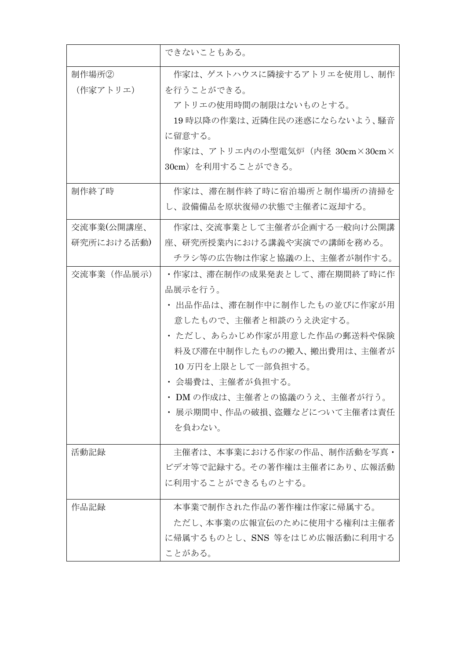|                          | できないこともある。                                                                                                                                                                                                                                                                |
|--------------------------|---------------------------------------------------------------------------------------------------------------------------------------------------------------------------------------------------------------------------------------------------------------------------|
| 制作場所②<br>(作家アトリエ)        | 作家は、ゲストハウスに隣接するアトリエを使用し、制作<br>を行うことができる。<br>アトリエの使用時間の制限はないものとする。<br>19 時以降の作業は、近隣住民の迷惑にならないよう、騒音<br>に留意する。<br>作家は、アトリエ内の小型電気炉(内径 30cm×30cm×<br>30cm) を利用することができる。                                                                                                        |
| 制作終了時                    | 作家は、滞在制作終了時に宿泊場所と制作場所の清掃を<br>し、設備備品を原状復帰の状態で主催者に返却する。                                                                                                                                                                                                                     |
| 交流事業(公開講座、<br>研究所における活動) | 作家は、交流事業として主催者が企画する一般向け公開講<br>座、研究所授業内における講義や実演での講師を務める。<br>チラシ等の広告物は作家と協議の上、主催者が制作する。                                                                                                                                                                                    |
| 交流事業(作品展示)               | ・作家は、滞在制作の成果発表として、滞在期間終了時に作<br>品展示を行う。<br>・ 出品作品は、滞在制作中に制作したもの並びに作家が用<br>意したもので、主催者と相談のうえ決定する。<br>・ ただし、あらかじめ作家が用意した作品の郵送料や保険<br>料及び滞在中制作したものの搬入、搬出費用は、主催者が<br>10万円を上限として一部負担する。<br>・ 会場費は、主催者が負担する。<br>DMの作成は、主催者との協議のうえ、主催者が行う。<br>展示期間中、作品の破損、盗難などについて主催者は責任<br>を負わない。 |
| 活動記録                     | 主催者は、本事業における作家の作品、制作活動を写真・<br>ビデオ等で記録する。その著作権は主催者にあり、広報活動<br>に利用することができるものとする。                                                                                                                                                                                            |
| 作品記録                     | 本事業で制作された作品の著作権は作家に帰属する。<br>ただし、本事業の広報宣伝のために使用する権利は主催者<br>に帰属するものとし、SNS 等をはじめ広報活動に利用する<br>ことがある。                                                                                                                                                                          |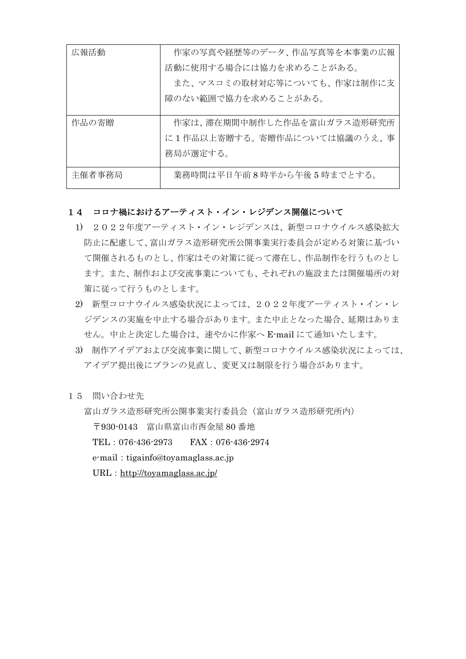| 広報活動   | 作家の写真や経歴等のデータ、作品写真等を本事業の広報  |
|--------|-----------------------------|
|        | 活動に使用する場合には協力を求めることがある。     |
|        | また、マスコミの取材対応等についても、作家は制作に支  |
|        | 障のない範囲で協力を求めることがある。         |
|        |                             |
| 作品の寄贈  | 作家は、滞在期間中制作した作品を富山ガラス造形研究所  |
|        | に1作品以上寄贈する。寄贈作品については協議のうえ、事 |
|        | 務局が選定する。                    |
|        |                             |
| 主催者事務局 | 業務時間は平日午前8時半から午後5時までとする。    |

# 14 コロナ禍におけるアーティスト・イン・レジデンス開催について

- 1) 2022年度アーティスト・イン・レジデンスは、新型コロナウイルス感染拡大 防止に配慮して、富山ガラス造形研究所公開事業実行委員会が定める対策に基づい て開催されるものとし、作家はその対策に従って滞在し、作品制作を行うものとし ます。また、制作および交流事業についても、それぞれの施設または開催場所の対 策に従って行うものとします。
- 2) 新型コロナウイルス感染状況によっては、2022年度アーティスト・イン・レ ジデンスの実施を中止する場合があります。また中止となった場合、延期はありま せん。中止と決定した場合は、速やかに作家へ E-mail にて通知いたします。
- 3) 制作アイデアおよび交流事業に関して、新型コロナウイルス感染状況によっては、 アイデア提出後にプランの見直し、変更又は制限を行う場合があります。
- 15 問い合わせ先

富山ガラス造形研究所公開事業実行委員会(富山ガラス造形研究所内)

〒930-0143 富山県富山市西金屋 80 番地

TEL:076-436-2973 FAX:076-436-2974

e-mail: tigainfo@toyamaglass.ac.jp

URL: <http://toyamaglass.ac.jp/>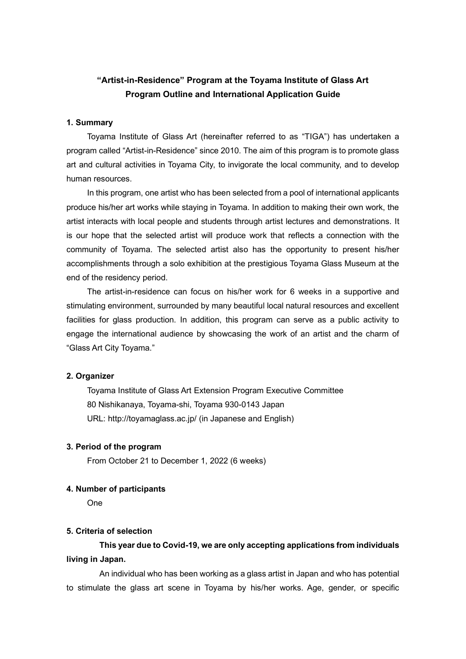# **"Artist-in-Residence" Program at the Toyama Institute of Glass Art Program Outline and International Application Guide**

#### **1. Summary**

Toyama Institute of Glass Art (hereinafter referred to as "TIGA") has undertaken a program called "Artist-in-Residence" since 2010. The aim of this program is to promote glass art and cultural activities in Toyama City, to invigorate the local community, and to develop human resources.

In this program, one artist who has been selected from a pool of international applicants produce his/her art works while staying in Toyama. In addition to making their own work, the artist interacts with local people and students through artist lectures and demonstrations. It is our hope that the selected artist will produce work that reflects a connection with the community of Toyama. The selected artist also has the opportunity to present his/her accomplishments through a solo exhibition at the prestigious Toyama Glass Museum at the end of the residency period.

The artist-in-residence can focus on his/her work for 6 weeks in a supportive and stimulating environment, surrounded by many beautiful local natural resources and excellent facilities for glass production. In addition, this program can serve as a public activity to engage the international audience by showcasing the work of an artist and the charm of "Glass Art City Toyama."

#### **2. Organizer**

Toyama Institute of Glass Art Extension Program Executive Committee 80 Nishikanaya, Toyama-shi, Toyama 930-0143 Japan URL: http://toyamaglass.ac.jp/ (in Japanese and English)

#### **3. Period of the program**

From October 21 to December 1, 2022 (6 weeks)

#### **4. Number of participants**

One

### **5. Criteria of selection**

**This year due to Covid-19, we are only accepting applications from individuals living in Japan.** 

An individual who has been working as a glass artist in Japan and who has potential to stimulate the glass art scene in Toyama by his/her works. Age, gender, or specific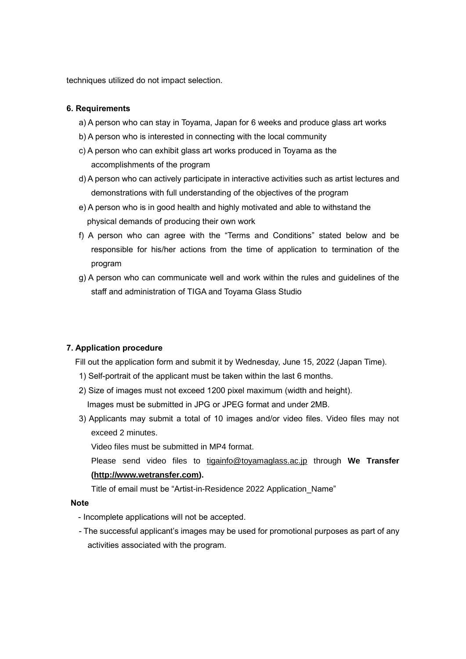techniques utilized do not impact selection.

# **6. Requirements**

- a) A person who can stay in Toyama, Japan for 6 weeks and produce glass art works
- b) A person who is interested in connecting with the local community
- c) A person who can exhibit glass art works produced in Toyama as the accomplishments of the program
- d) A person who can actively participate in interactive activities such as artist lectures and demonstrations with full understanding of the objectives of the program
- e) A person who is in good health and highly motivated and able to withstand the physical demands of producing their own work
- f) A person who can agree with the "Terms and Conditions" stated below and be responsible for his/her actions from the time of application to termination of the program
- g) A person who can communicate well and work within the rules and guidelines of the staff and administration of TIGA and Toyama Glass Studio

# **7. Application procedure**

Fill out the application form and submit it by Wednesday, June 15, 2022 (Japan Time).

- 1) Self-portrait of the applicant must be taken within the last 6 months.
- 2) Size of images must not exceed 1200 pixel maximum (width and height). Images must be submitted in JPG or JPEG format and under 2MB.
- 3) Applicants may submit a total of 10 images and/or video files. Video files may not exceed 2 minutes.

Video files must be submitted in MP4 format.

 Please send video files to [tigainfo@toyamaglass.ac.jp](mailto:tigainfo@toyamaglass.ac.jp) through **We Transfer [\(http://www.wetransfer.com\)](http://www.wetransfer.com/).**

Title of email must be "Artist-in-Residence 2022 Application\_Name"

# **Note**

- Incomplete applications will not be accepted.
- The successful applicant's images may be used for promotional purposes as part of any activities associated with the program.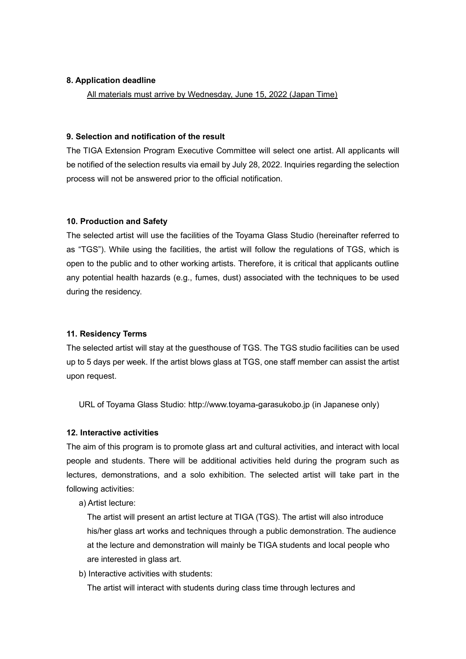### **8. Application deadline**

All materials must arrive by Wednesday, June 15, 2022 (Japan Time)

### **9. Selection and notification of the result**

The TIGA Extension Program Executive Committee will select one artist. All applicants will be notified of the selection results via email by July 28, 2022. Inquiries regarding the selection process will not be answered prior to the official notification.

# **10. Production and Safety**

The selected artist will use the facilities of the Toyama Glass Studio (hereinafter referred to as "TGS"). While using the facilities, the artist will follow the regulations of TGS, which is open to the public and to other working artists. Therefore, it is critical that applicants outline any potential health hazards (e.g., fumes, dust) associated with the techniques to be used during the residency.

# **11. Residency Terms**

The selected artist will stay at the guesthouse of TGS. The TGS studio facilities can be used up to 5 days per week. If the artist blows glass at TGS, one staff member can assist the artist upon request.

URL of Toyama Glass Studio: http://www.toyama-garasukobo.jp (in Japanese only)

# **12. Interactive activities**

The aim of this program is to promote glass art and cultural activities, and interact with local people and students. There will be additional activities held during the program such as lectures, demonstrations, and a solo exhibition. The selected artist will take part in the following activities:

a) Artist lecture:

 The artist will present an artist lecture at TIGA (TGS). The artist will also introduce his/her glass art works and techniques through a public demonstration. The audience at the lecture and demonstration will mainly be TIGA students and local people who are interested in glass art.

b) Interactive activities with students:

The artist will interact with students during class time through lectures and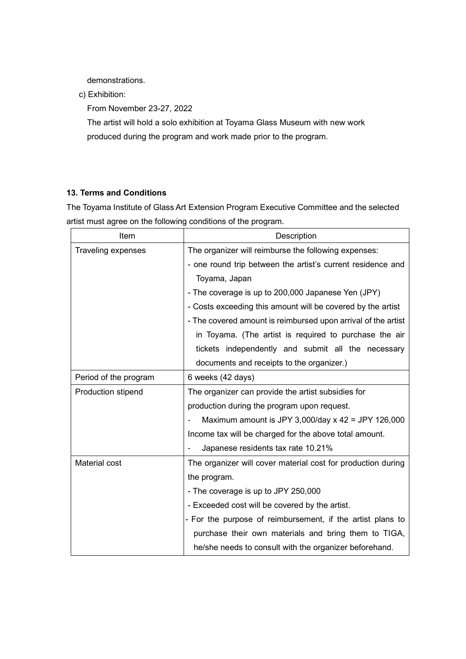demonstrations.

c) Exhibition:

From November 23-27, 2022

 The artist will hold a solo exhibition at Toyama Glass Museum with new work produced during the program and work made prior to the program.

# **13. Terms and Conditions**

The Toyama Institute of Glass Art Extension Program Executive Committee and the selected artist must agree on the following conditions of the program.

| Item                      | Description                                                   |
|---------------------------|---------------------------------------------------------------|
| <b>Traveling expenses</b> | The organizer will reimburse the following expenses:          |
|                           | - one round trip between the artist's current residence and   |
|                           | Toyama, Japan                                                 |
|                           | - The coverage is up to 200,000 Japanese Yen (JPY)            |
|                           | - Costs exceeding this amount will be covered by the artist   |
|                           | - The covered amount is reimbursed upon arrival of the artist |
|                           | in Toyama. (The artist is required to purchase the air        |
|                           | tickets independently and submit all the necessary            |
|                           | documents and receipts to the organizer.)                     |
| Period of the program     | 6 weeks (42 days)                                             |
| Production stipend        | The organizer can provide the artist subsidies for            |
|                           | production during the program upon request.                   |
|                           | Maximum amount is JPY 3,000/day x 42 = JPY 126,000            |
|                           | Income tax will be charged for the above total amount.        |
|                           | Japanese residents tax rate 10.21%                            |
| Material cost             | The organizer will cover material cost for production during  |
|                           | the program.                                                  |
|                           | - The coverage is up to JPY 250,000                           |
|                           | - Exceeded cost will be covered by the artist.                |
|                           | - For the purpose of reimbursement, if the artist plans to    |
|                           | purchase their own materials and bring them to TIGA,          |
|                           | he/she needs to consult with the organizer beforehand.        |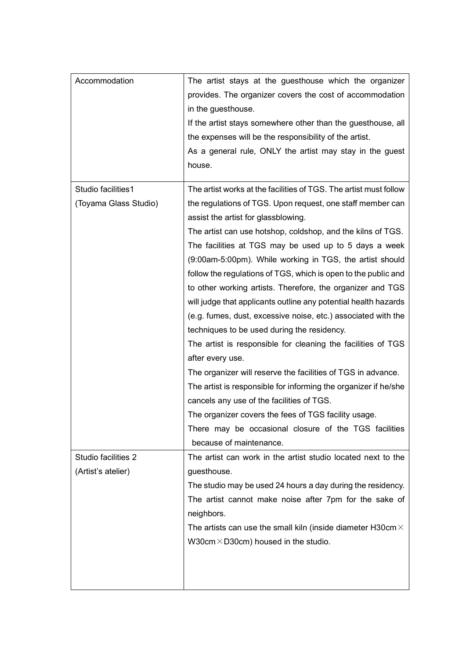| Accommodation         | The artist stays at the guesthouse which the organizer<br>provides. The organizer covers the cost of accommodation<br>in the guesthouse.<br>If the artist stays somewhere other than the guesthouse, all<br>the expenses will be the responsibility of the artist.<br>As a general rule, ONLY the artist may stay in the guest<br>house.                                                                                                                                                                                                                                                                                                                                                                                                                                                                                  |
|-----------------------|---------------------------------------------------------------------------------------------------------------------------------------------------------------------------------------------------------------------------------------------------------------------------------------------------------------------------------------------------------------------------------------------------------------------------------------------------------------------------------------------------------------------------------------------------------------------------------------------------------------------------------------------------------------------------------------------------------------------------------------------------------------------------------------------------------------------------|
| Studio facilities1    | The artist works at the facilities of TGS. The artist must follow                                                                                                                                                                                                                                                                                                                                                                                                                                                                                                                                                                                                                                                                                                                                                         |
| (Toyama Glass Studio) | the regulations of TGS. Upon request, one staff member can<br>assist the artist for glassblowing.                                                                                                                                                                                                                                                                                                                                                                                                                                                                                                                                                                                                                                                                                                                         |
|                       | The artist can use hotshop, coldshop, and the kilns of TGS.                                                                                                                                                                                                                                                                                                                                                                                                                                                                                                                                                                                                                                                                                                                                                               |
|                       | The facilities at TGS may be used up to 5 days a week<br>(9:00am-5:00pm). While working in TGS, the artist should<br>follow the regulations of TGS, which is open to the public and<br>to other working artists. Therefore, the organizer and TGS<br>will judge that applicants outline any potential health hazards<br>(e.g. fumes, dust, excessive noise, etc.) associated with the<br>techniques to be used during the residency.<br>The artist is responsible for cleaning the facilities of TGS<br>after every use.<br>The organizer will reserve the facilities of TGS in advance.<br>The artist is responsible for informing the organizer if he/she<br>cancels any use of the facilities of TGS.<br>The organizer covers the fees of TGS facility usage.<br>There may be occasional closure of the TGS facilities |
|                       | because of maintenance.                                                                                                                                                                                                                                                                                                                                                                                                                                                                                                                                                                                                                                                                                                                                                                                                   |
| Studio facilities 2   | The artist can work in the artist studio located next to the                                                                                                                                                                                                                                                                                                                                                                                                                                                                                                                                                                                                                                                                                                                                                              |
| (Artist's atelier)    | guesthouse.                                                                                                                                                                                                                                                                                                                                                                                                                                                                                                                                                                                                                                                                                                                                                                                                               |
|                       | The studio may be used 24 hours a day during the residency.                                                                                                                                                                                                                                                                                                                                                                                                                                                                                                                                                                                                                                                                                                                                                               |
|                       | The artist cannot make noise after 7pm for the sake of<br>neighbors.                                                                                                                                                                                                                                                                                                                                                                                                                                                                                                                                                                                                                                                                                                                                                      |
|                       | The artists can use the small kiln (inside diameter H30cm $\times$                                                                                                                                                                                                                                                                                                                                                                                                                                                                                                                                                                                                                                                                                                                                                        |
|                       | W30cm $\times$ D30cm) housed in the studio.                                                                                                                                                                                                                                                                                                                                                                                                                                                                                                                                                                                                                                                                                                                                                                               |
|                       |                                                                                                                                                                                                                                                                                                                                                                                                                                                                                                                                                                                                                                                                                                                                                                                                                           |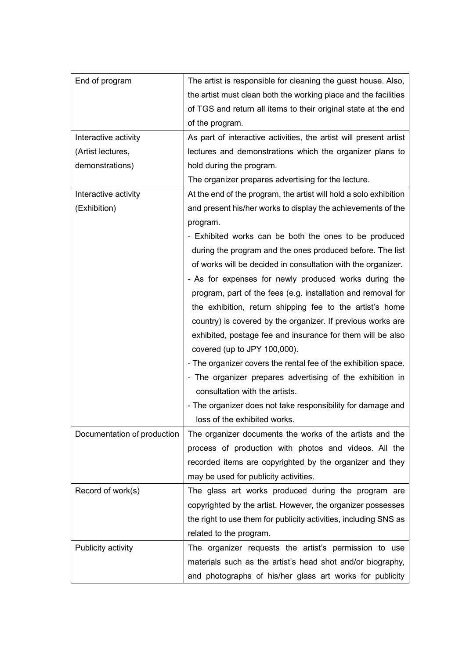| End of program              | The artist is responsible for cleaning the guest house. Also,     |
|-----------------------------|-------------------------------------------------------------------|
|                             | the artist must clean both the working place and the facilities   |
|                             | of TGS and return all items to their original state at the end    |
|                             | of the program.                                                   |
| Interactive activity        | As part of interactive activities, the artist will present artist |
| (Artist lectures,           | lectures and demonstrations which the organizer plans to          |
| demonstrations)             | hold during the program.                                          |
|                             | The organizer prepares advertising for the lecture.               |
| Interactive activity        | At the end of the program, the artist will hold a solo exhibition |
| (Exhibition)                | and present his/her works to display the achievements of the      |
|                             | program.                                                          |
|                             | - Exhibited works can be both the ones to be produced             |
|                             | during the program and the ones produced before. The list         |
|                             | of works will be decided in consultation with the organizer.      |
|                             | - As for expenses for newly produced works during the             |
|                             | program, part of the fees (e.g. installation and removal for      |
|                             | the exhibition, return shipping fee to the artist's home          |
|                             | country) is covered by the organizer. If previous works are       |
|                             | exhibited, postage fee and insurance for them will be also        |
|                             | covered (up to JPY 100,000).                                      |
|                             | - The organizer covers the rental fee of the exhibition space.    |
|                             | - The organizer prepares advertising of the exhibition in         |
|                             | consultation with the artists.                                    |
|                             | - The organizer does not take responsibility for damage and       |
|                             | loss of the exhibited works.                                      |
| Documentation of production | The organizer documents the works of the artists and the          |
|                             | process of production with photos and videos. All the             |
|                             | recorded items are copyrighted by the organizer and they          |
|                             | may be used for publicity activities.                             |
| Record of work(s)           | The glass art works produced during the program are               |
|                             | copyrighted by the artist. However, the organizer possesses       |
|                             | the right to use them for publicity activities, including SNS as  |
|                             | related to the program.                                           |
| Publicity activity          | The organizer requests the artist's permission to use             |
|                             | materials such as the artist's head shot and/or biography,        |
|                             | and photographs of his/her glass art works for publicity          |